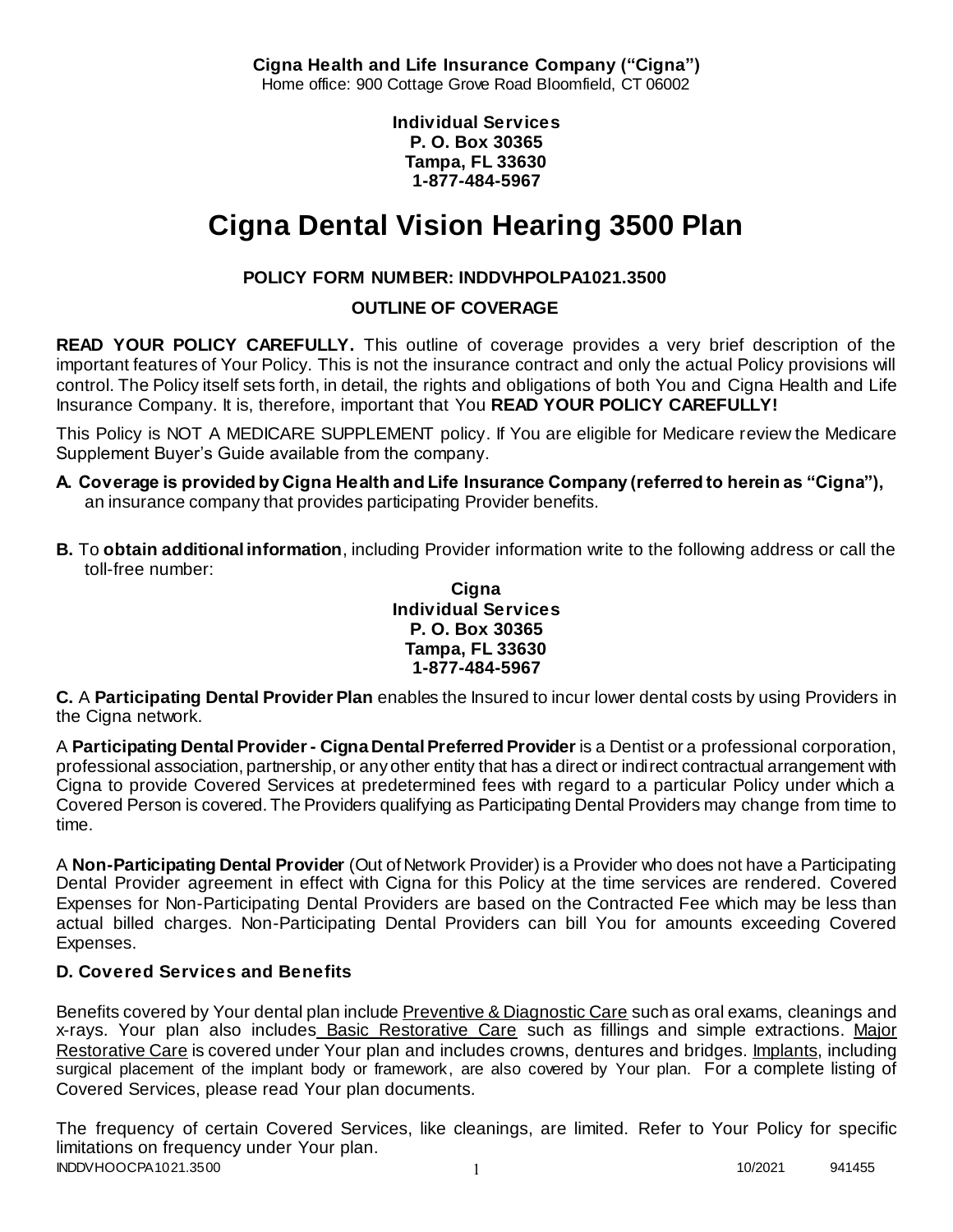**Cigna Health and Life Insurance Company ("Cigna")** Home office: 900 Cottage Grove Road Bloomfield, CT 06002

> **Individual Services P. O. Box 30365 Tampa, FL 33630 1-877-484-5967**

# **Cigna Dental Vision Hearing 3500 Plan**

# **POLICY FORM NUMBER: INDDVHPOLPA1021.3500**

**OUTLINE OF COVERAGE** 

**READ YOUR POLICY CAREFULLY.** This outline of coverage provides a very brief description of the important features of Your Policy. This is not the insurance contract and only the actual Policy provisions will control. The Policy itself sets forth, in detail, the rights and obligations of both You and Cigna Health and Life Insurance Company. It is, therefore, important that You **READ YOUR POLICY CAREFULLY!** 

This Policy is NOT A MEDICARE SUPPLEMENT policy. If You are eligible for Medicare review the Medicare Supplement Buyer's Guide available from the company.

- **A. Coverage is provided by Cigna Health and Life Insurance Company (referred to herein as "Cigna"),**  an insurance company that provides participating Provider benefits.
- **B.** To **obtain additional information**, including Provider information write to the following address or call the toll-free number:

**Cigna Individual Services P. O. Box 30365 Tampa, FL 33630 1-877-484-5967**

**C.** A **Participating Dental Provider Plan** enables the Insured to incur lower dental costs by using Providers in the Cigna network.

A **Participating Dental Provider - Cigna Dental Preferred Provider** is a Dentist or a professional corporation, professional association, partnership, or any other entity that has a direct or indirect contractual arrangement with Cigna to provide Covered Services at predetermined fees with regard to a particular Policy under which a Covered Person is covered. The Providers qualifying as Participating Dental Providers may change from time to time.

A **Non-Participating Dental Provider** (Out of Network Provider) is a Provider who does not have a Participating Dental Provider agreement in effect with Cigna for this Policy at the time services are rendered. Covered Expenses for Non-Participating Dental Providers are based on the Contracted Fee which may be less than actual billed charges. Non-Participating Dental Providers can bill You for amounts exceeding Covered Expenses.

# **D. Covered Services and Benefits**

Benefits covered by Your dental plan include Preventive & Diagnostic Care such as oral exams, cleanings and x-rays. Your plan also includes Basic Restorative Care such as fillings and simple extractions. Major Restorative Care is covered under Your plan and includes crowns, dentures and bridges. Implants, including surgical placement of the implant body or framework, are also covered by Your plan. For a complete listing of Covered Services, please read Your plan documents.

INDDVHOOCPA1021.3500 1 10/2021 941455 The frequency of certain Covered Services, like cleanings, are limited. Refer to Your Policy for specific limitations on frequency under Your plan.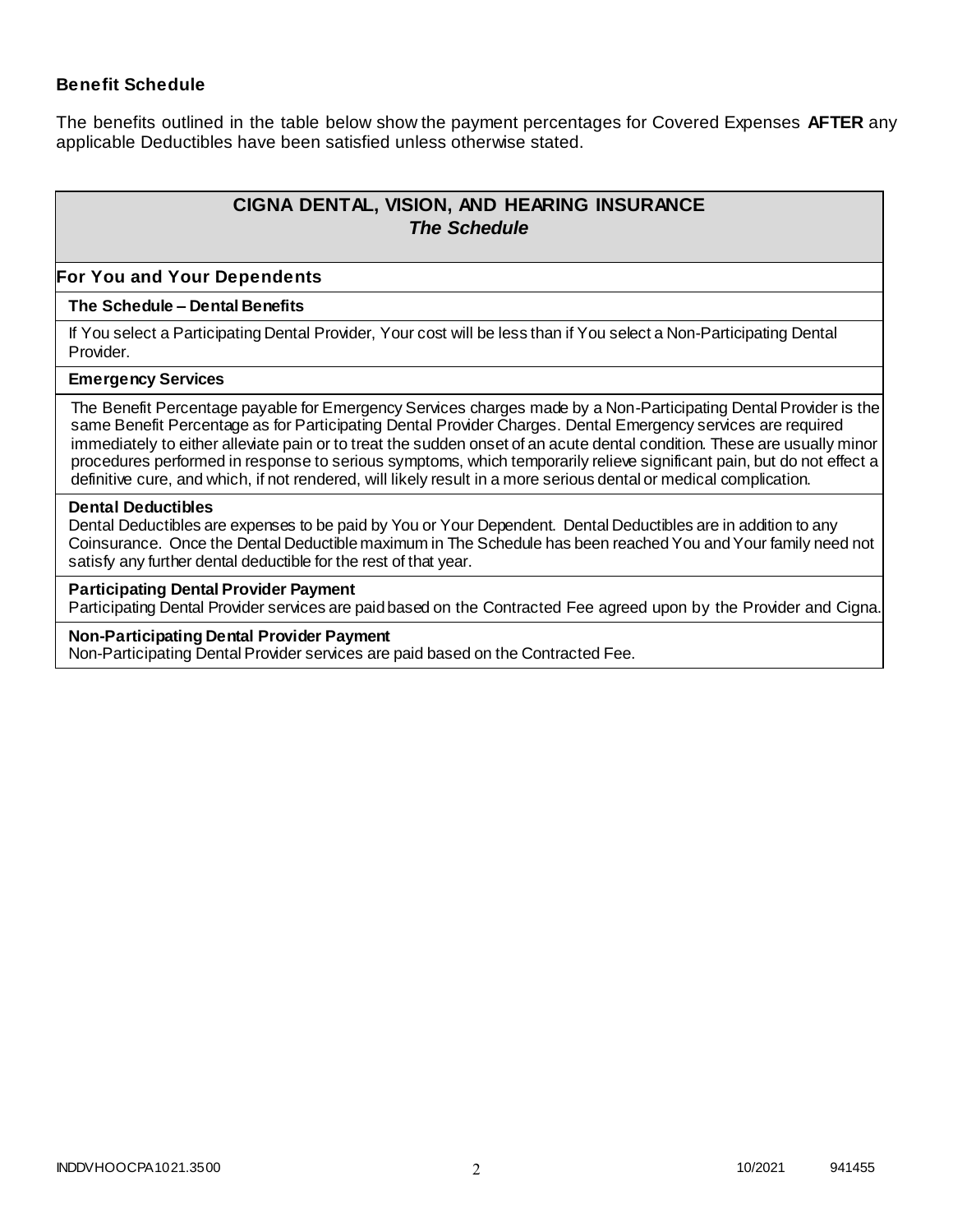### **Benefit Schedule**

The benefits outlined in the table below show the payment percentages for Covered Expenses **AFTER** any applicable Deductibles have been satisfied unless otherwise stated.

# **CIGNA DENTAL, VISION, AND HEARING INSURANCE** *The Schedule*

#### **For You and Your Dependents**

#### **The Schedule – Dental Benefits**

If You select a Participating Dental Provider, Your cost will be less than if You select a Non-Participating Dental Provider.

#### **Emergency Services**

The Benefit Percentage payable for Emergency Services charges made by a Non-Participating Dental Provider is the same Benefit Percentage as for Participating Dental Provider Charges. Dental Emergency services are required immediately to either alleviate pain or to treat the sudden onset of an acute dental condition. These are usually minor procedures performed in response to serious symptoms, which temporarily relieve significant pain, but do not effect a definitive cure, and which, if not rendered, will likely result in a more serious dental or medical complication.

#### **Dental Deductibles**

Dental Deductibles are expenses to be paid by You or Your Dependent. Dental Deductibles are in addition to any Coinsurance. Once the Dental Deductible maximum in The Schedule has been reached You and Your family need not satisfy any further dental deductible for the rest of that year.

#### **Participating Dental Provider Payment**

Participating Dental Provider services are paid based on the Contracted Fee agreed upon by the Provider and Cigna.

#### **Non-Participating Dental Provider Payment**

Non-Participating Dental Provider services are paid based on the Contracted Fee.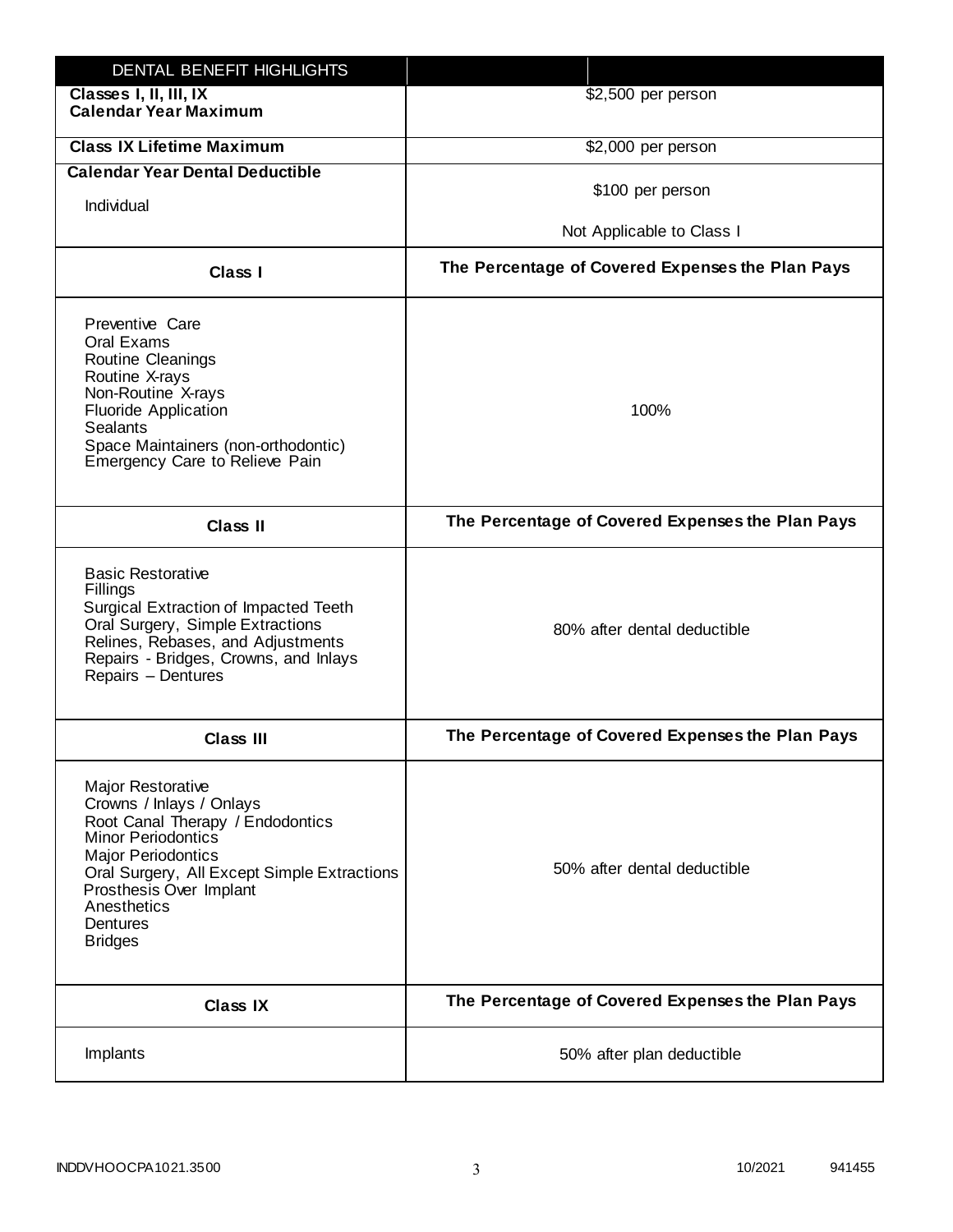| DENTAL BENEFIT HIGHLIGHTS                                                                                                                                                                                                                                                 |                                                  |
|---------------------------------------------------------------------------------------------------------------------------------------------------------------------------------------------------------------------------------------------------------------------------|--------------------------------------------------|
| Classes I, II, III, IX<br><b>Calendar Year Maximum</b>                                                                                                                                                                                                                    | \$2,500 per person                               |
| <b>Class IX Lifetime Maximum</b>                                                                                                                                                                                                                                          | \$2,000 per person                               |
| <b>Calendar Year Dental Deductible</b>                                                                                                                                                                                                                                    |                                                  |
| Individual                                                                                                                                                                                                                                                                | \$100 per person                                 |
|                                                                                                                                                                                                                                                                           | Not Applicable to Class I                        |
| <b>Class I</b>                                                                                                                                                                                                                                                            | The Percentage of Covered Expenses the Plan Pays |
| Preventive Care<br>Oral Exams<br>Routine Cleanings<br>Routine X-rays<br>Non-Routine X-rays<br><b>Fluoride Application</b><br><b>Sealants</b><br>Space Maintainers (non-orthodontic)<br>Emergency Care to Relieve Pain                                                     | 100%                                             |
| <b>Class II</b>                                                                                                                                                                                                                                                           | The Percentage of Covered Expenses the Plan Pays |
| <b>Basic Restorative</b><br>Fillings<br>Surgical Extraction of Impacted Teeth<br>Oral Surgery, Simple Extractions<br>Relines, Rebases, and Adjustments<br>Repairs - Bridges, Crowns, and Inlays<br>Repairs - Dentures                                                     | 80% after dental deductible                      |
| <b>Class III</b>                                                                                                                                                                                                                                                          | The Percentage of Covered Expenses the Plan Pays |
| <b>Major Restorative</b><br>Crowns / Inlays / Onlays<br>Root Canal Therapy / Endodontics<br><b>Minor Periodontics</b><br><b>Major Periodontics</b><br>Oral Surgery, All Except Simple Extractions<br>Prosthesis Over Implant<br>Anesthetics<br>Dentures<br><b>Bridges</b> | 50% after dental deductible                      |
| <b>Class IX</b>                                                                                                                                                                                                                                                           | The Percentage of Covered Expenses the Plan Pays |
| Implants                                                                                                                                                                                                                                                                  | 50% after plan deductible                        |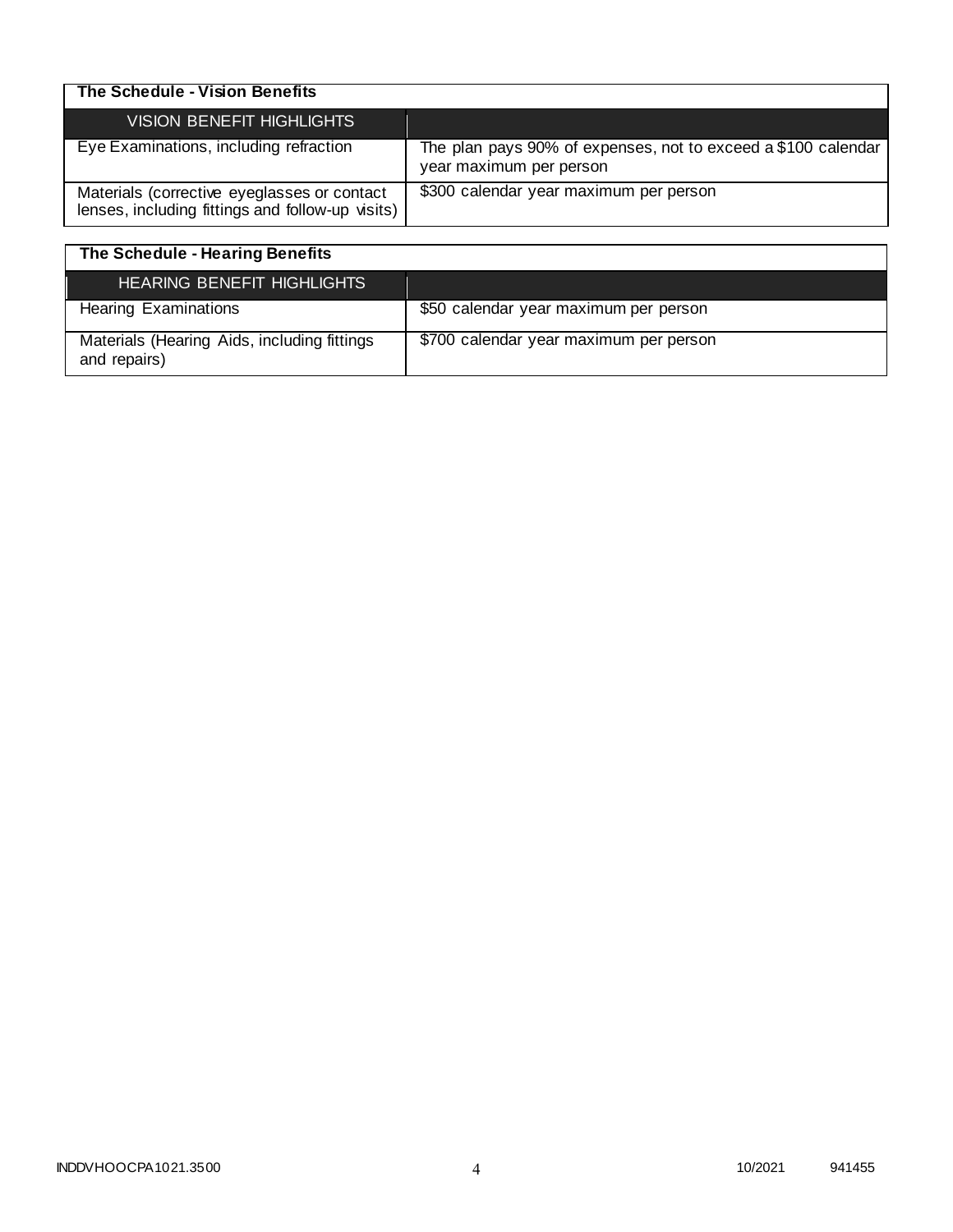| The Schedule - Vision Benefits                                                                  |                                                                                          |
|-------------------------------------------------------------------------------------------------|------------------------------------------------------------------------------------------|
| <b>VISION BENEFIT HIGHLIGHTS</b>                                                                |                                                                                          |
| Eye Examinations, including refraction                                                          | The plan pays 90% of expenses, not to exceed a \$100 calendar<br>year maximum per person |
| Materials (corrective eyeglasses or contact<br>lenses, including fittings and follow-up visits) | \$300 calendar year maximum per person                                                   |

| The Schedule - Hearing Benefits                             |                                        |
|-------------------------------------------------------------|----------------------------------------|
| <b>HEARING BENEFIT HIGHLIGHTS</b>                           |                                        |
| <b>Hearing Examinations</b>                                 | \$50 calendar year maximum per person  |
| Materials (Hearing Aids, including fittings<br>and repairs) | \$700 calendar year maximum per person |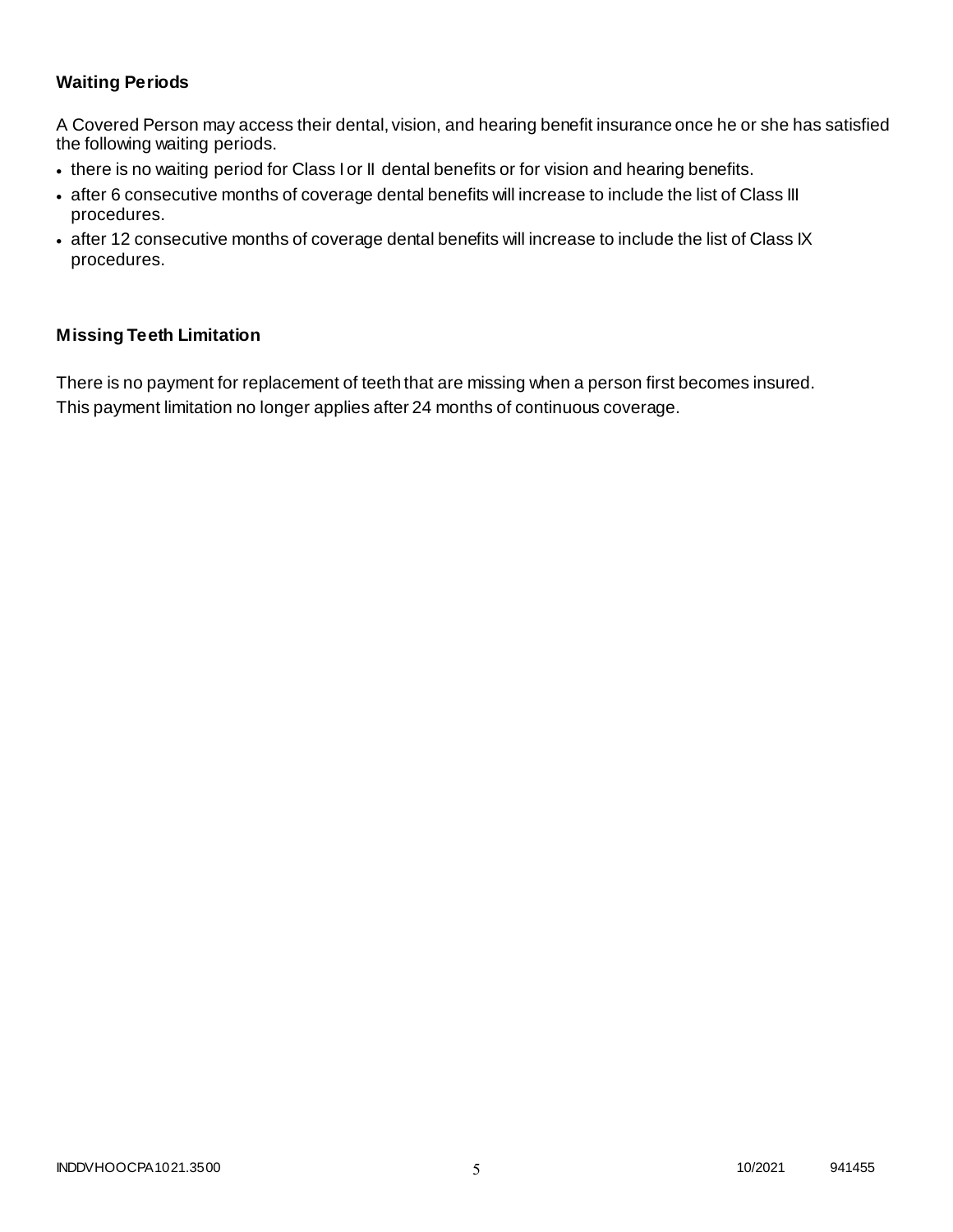# **Waiting Periods**

A Covered Person may access their dental, vision, and hearing benefit insurance once he or she has satisfied the following waiting periods.

- there is no waiting period for Class I or II dental benefits or for vision and hearing benefits.
- after 6 consecutive months of coverage dental benefits will increase to include the list of Class III procedures.
- after 12 consecutive months of coverage dental benefits will increase to include the list of Class IX procedures.

### **Missing Teeth Limitation**

There is no payment for replacement of teeth that are missing when a person first becomes insured. This payment limitation no longer applies after 24 months of continuous coverage.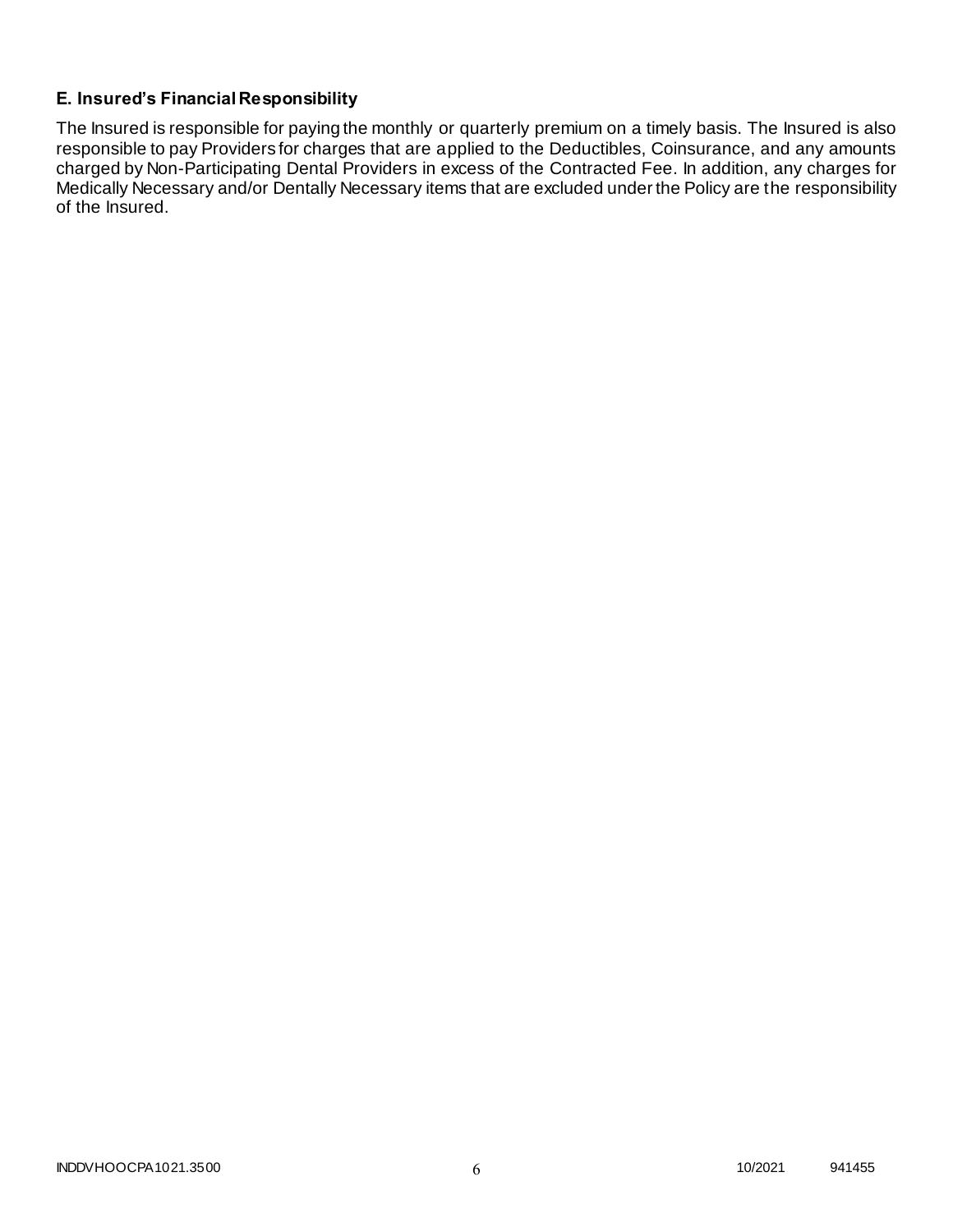# **E. Insured's Financial Responsibility**

The Insured is responsible for paying the monthly or quarterly premium on a timely basis. The Insured is also responsible to pay Providers for charges that are applied to the Deductibles, Coinsurance, and any amounts charged by Non-Participating Dental Providers in excess of the Contracted Fee. In addition, any charges for Medically Necessary and/or Dentally Necessary items that are excluded under the Policy are the responsibility of the Insured.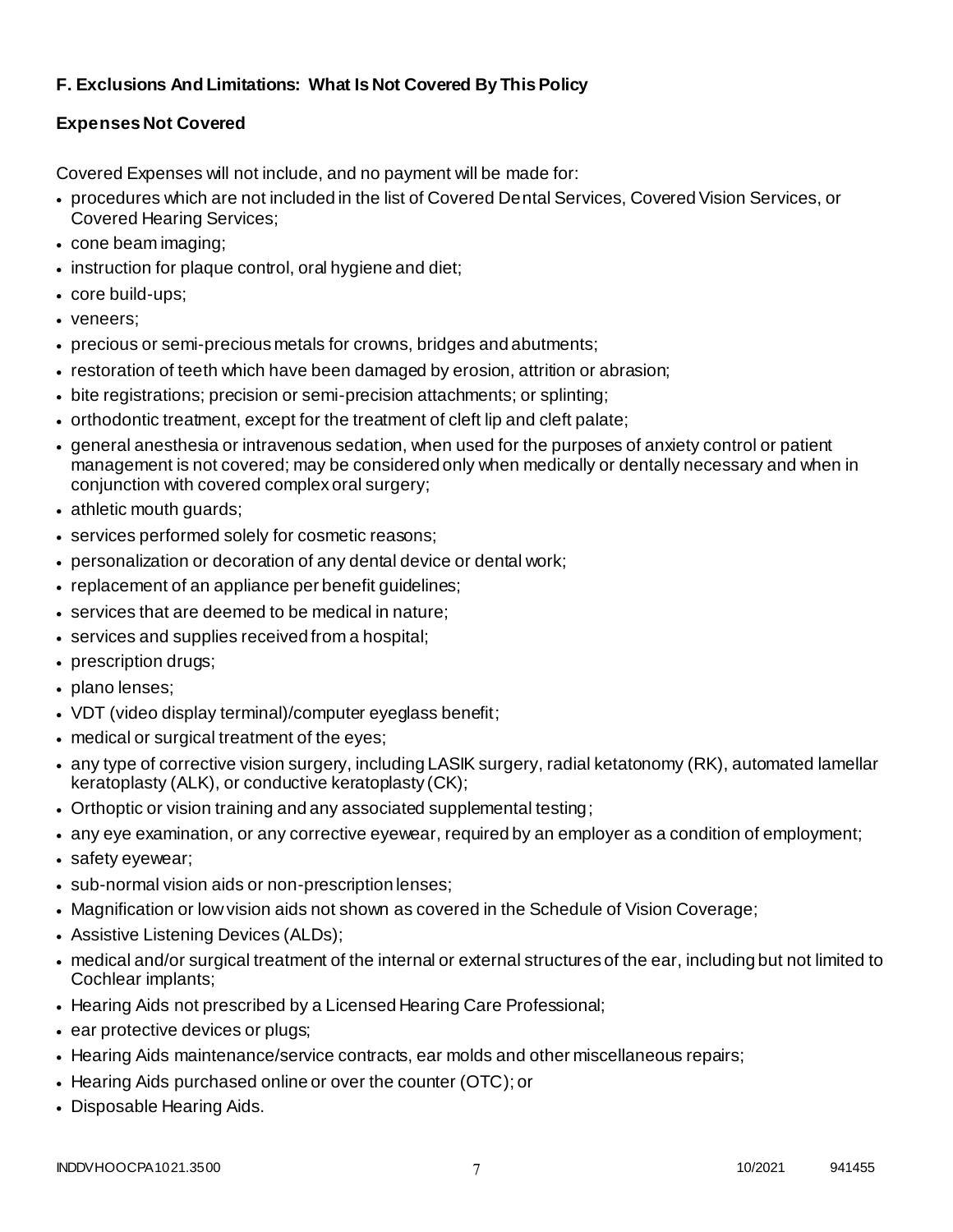# **F. Exclusions And Limitations: What Is Not Covered By This Policy**

# **Expenses Not Covered**

Covered Expenses will not include, and no payment will be made for:

- procedures which are not included in the list of Covered Dental Services, Covered Vision Services, or Covered Hearing Services;
- cone beam imaging;
- instruction for plaque control, oral hygiene and diet;
- core build-ups;
- veneers;
- precious or semi-precious metals for crowns, bridges and abutments;
- restoration of teeth which have been damaged by erosion, attrition or abrasion;
- bite registrations; precision or semi-precision attachments; or splinting;
- orthodontic treatment, except for the treatment of cleft lip and cleft palate;
- general anesthesia or intravenous sedation, when used for the purposes of anxiety control or patient management is not covered; may be considered only when medically or dentally necessary and when in conjunction with covered complex oral surgery;
- athletic mouth guards;
- services performed solely for cosmetic reasons;
- personalization or decoration of any dental device or dental work;
- replacement of an appliance per benefit guidelines;
- services that are deemed to be medical in nature;
- services and supplies received from a hospital;
- prescription drugs;
- plano lenses;
- VDT (video display terminal)/computer eyeglass benefit;
- medical or surgical treatment of the eyes;
- any type of corrective vision surgery, including LASIK surgery, radial ketatonomy (RK), automated lamellar keratoplasty (ALK), or conductive keratoplasty (CK);
- Orthoptic or vision training and any associated supplemental testing;
- any eye examination, or any corrective eyewear, required by an employer as a condition of employment;
- safety eyewear;
- sub-normal vision aids or non-prescription lenses;
- Magnification or low vision aids not shown as covered in the Schedule of Vision Coverage;
- Assistive Listening Devices (ALDs);
- medical and/or surgical treatment of the internal or external structures of the ear, including but not limited to Cochlear implants;
- Hearing Aids not prescribed by a Licensed Hearing Care Professional;
- ear protective devices or plugs;
- Hearing Aids maintenance/service contracts, ear molds and other miscellaneous repairs;
- Hearing Aids purchased online or over the counter (OTC); or
- Disposable Hearing Aids.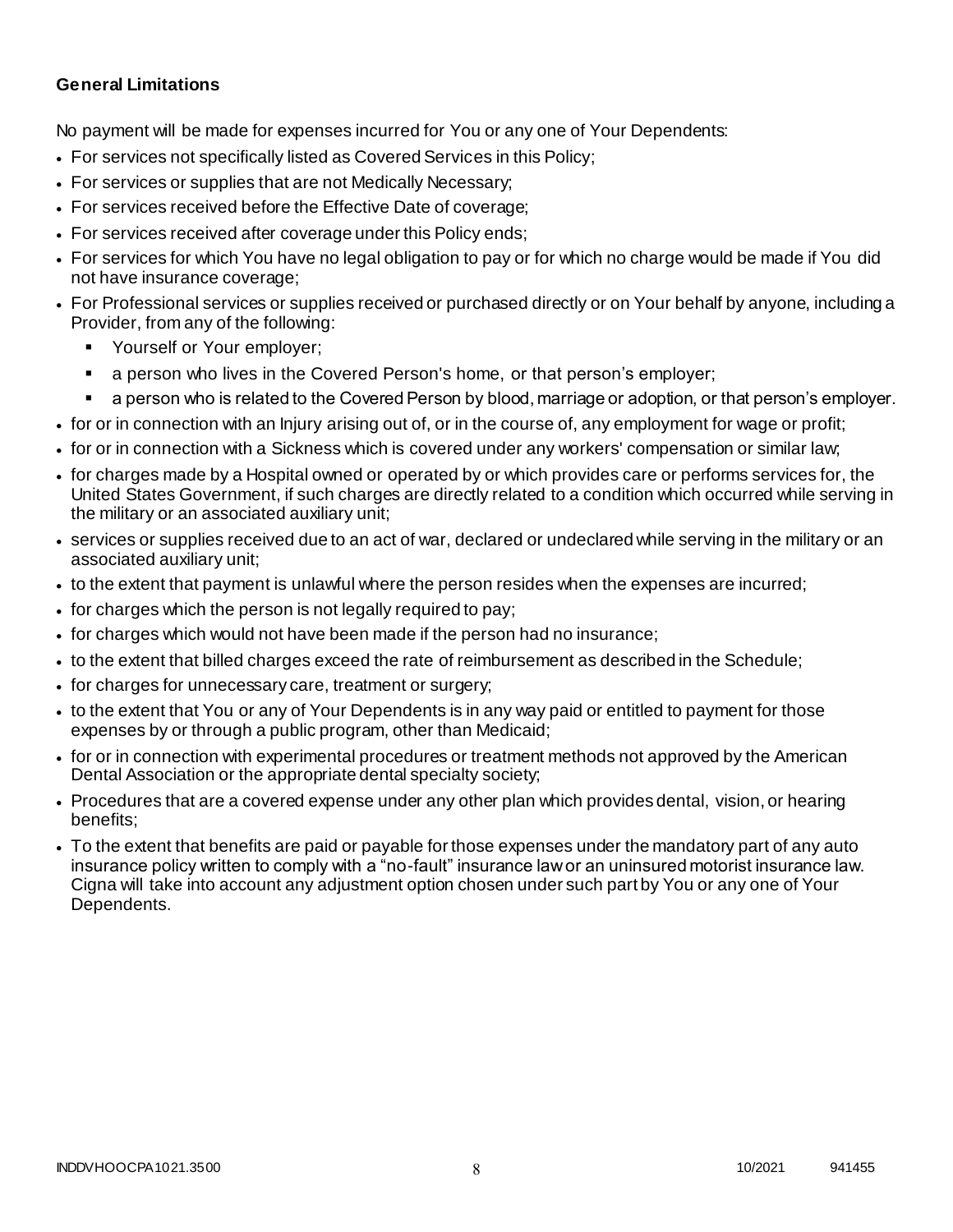### **General Limitations**

No payment will be made for expenses incurred for You or any one of Your Dependents:

- For services not specifically listed as Covered Services in this Policy;
- For services or supplies that are not Medically Necessary;
- For services received before the Effective Date of coverage;
- For services received after coverage under this Policy ends;
- For services for which You have no legal obligation to pay or for which no charge would be made if You did not have insurance coverage;
- For Professional services or supplies received or purchased directly or on Your behalf by anyone, including a Provider, from any of the following:
	- Yourself or Your employer;
	- a person who lives in the Covered Person's home, or that person's employer;
	- a person who is related to the Covered Person by blood, marriage or adoption, or that person's employer.
- for or in connection with an Injury arising out of, or in the course of, any employment for wage or profit;
- for or in connection with a Sickness which is covered under any workers' compensation or similar law;
- for charges made by a Hospital owned or operated by or which provides care or performs services for, the United States Government, if such charges are directly related to a condition which occurred while serving in the military or an associated auxiliary unit;
- services or supplies received due to an act of war, declared or undeclared while serving in the military or an associated auxiliary unit;
- to the extent that payment is unlawful where the person resides when the expenses are incurred;
- for charges which the person is not legally required to pay;
- for charges which would not have been made if the person had no insurance;
- to the extent that billed charges exceed the rate of reimbursement as described in the Schedule;
- for charges for unnecessary care, treatment or surgery;
- to the extent that You or any of Your Dependents is in any way paid or entitled to payment for those expenses by or through a public program, other than Medicaid;
- for or in connection with experimental procedures or treatment methods not approved by the American Dental Association or the appropriate dental specialty society;
- Procedures that are a covered expense under any other plan which provides dental, vision, or hearing benefits;
- To the extent that benefits are paid or payable for those expenses under the mandatory part of any auto insurance policy written to comply with a "no-fault" insurance law or an uninsured motorist insurance law. Cigna will take into account any adjustment option chosen under such part by You or any one of Your Dependents.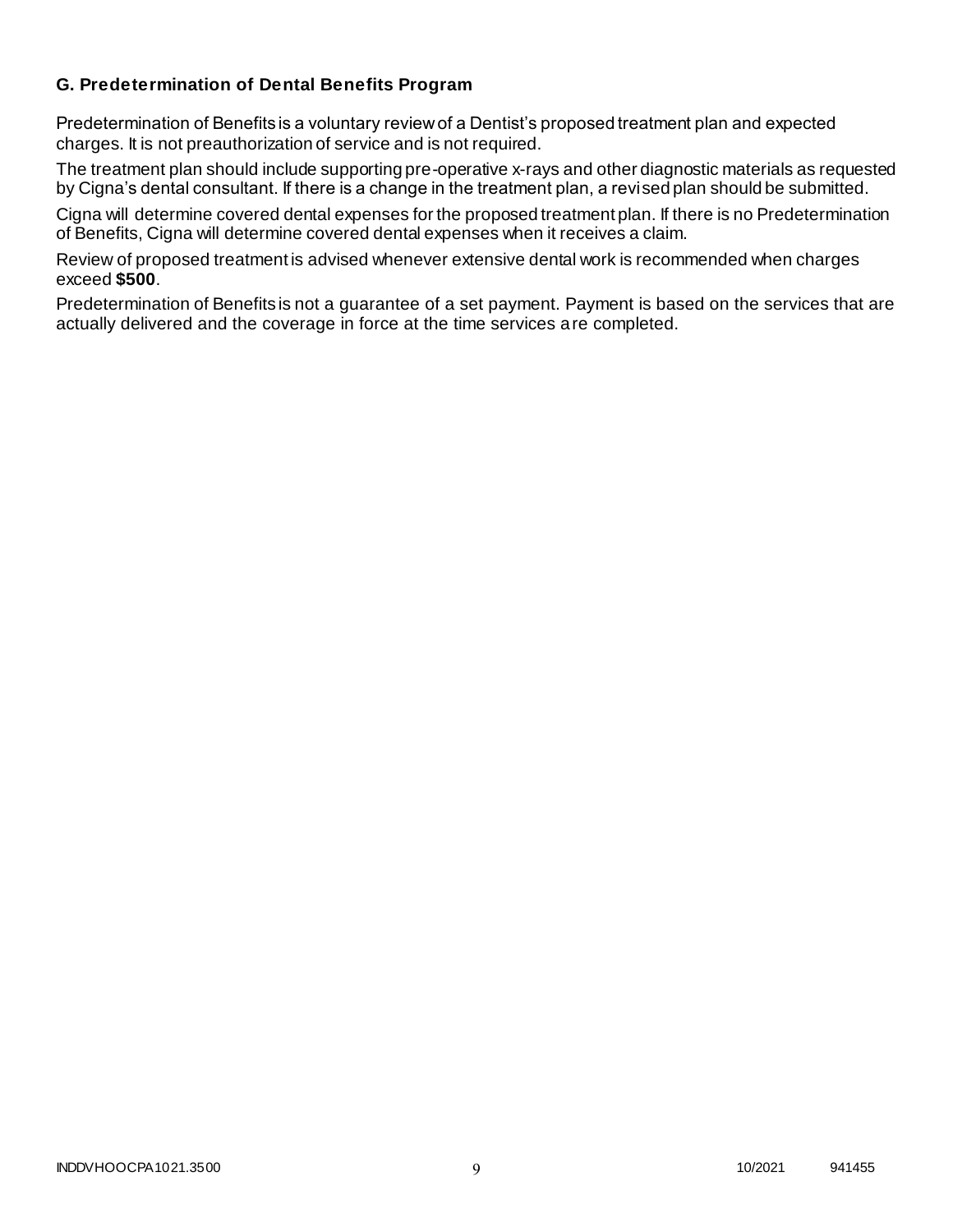### **G. Predetermination of Dental Benefits Program**

Predetermination of Benefits is a voluntary review of a Dentist's proposed treatment plan and expected charges. It is not preauthorization of service and is not required.

The treatment plan should include supporting pre-operative x-rays and other diagnostic materials as requested by Cigna's dental consultant. If there is a change in the treatment plan, a revised plan should be submitted.

Cigna will determine covered dental expenses for the proposed treatment plan. If there is no Predetermination of Benefits, Cigna will determine covered dental expenses when it receives a claim.

Review of proposed treatment is advised whenever extensive dental work is recommended when charges exceed **\$500**.

Predetermination of Benefits is not a guarantee of a set payment. Payment is based on the services that are actually delivered and the coverage in force at the time services are completed.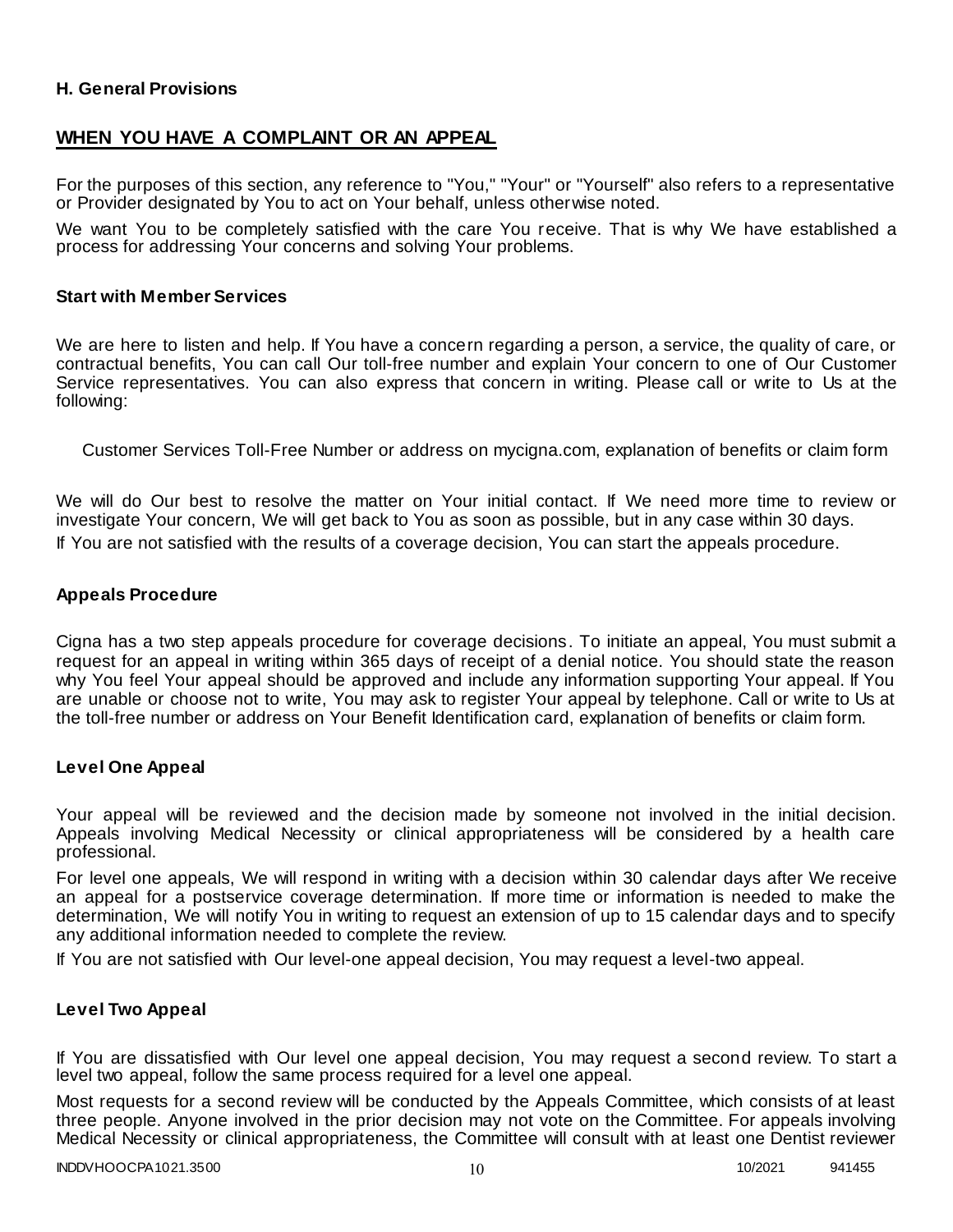### **H. General Provisions**

# **WHEN YOU HAVE A COMPLAINT OR AN APPEAL**

For the purposes of this section, any reference to "You," "Your" or "Yourself" also refers to a representative or Provider designated by You to act on Your behalf, unless otherwise noted.

We want You to be completely satisfied with the care You receive. That is why We have established a process for addressing Your concerns and solving Your problems.

#### **Start with Member Services**

We are here to listen and help. If You have a concern regarding a person, a service, the quality of care, or contractual benefits, You can call Our toll-free number and explain Your concern to one of Our Customer Service representatives. You can also express that concern in writing. Please call or write to Us at the following:

Customer Services Toll-Free Number or address on mycigna.com, explanation of benefits or claim form

We will do Our best to resolve the matter on Your initial contact. If We need more time to review or investigate Your concern, We will get back to You as soon as possible, but in any case within 30 days. If You are not satisfied with the results of a coverage decision, You can start the appeals procedure.

#### **Appeals Procedure**

Cigna has a two step appeals procedure for coverage decisions. To initiate an appeal, You must submit a request for an appeal in writing within 365 days of receipt of a denial notice. You should state the reason why You feel Your appeal should be approved and include any information supporting Your appeal. If You are unable or choose not to write, You may ask to register Your appeal by telephone. Call or write to Us at the toll-free number or address on Your Benefit Identification card, explanation of benefits or claim form.

#### **Level One Appeal**

Your appeal will be reviewed and the decision made by someone not involved in the initial decision. Appeals involving Medical Necessity or clinical appropriateness will be considered by a health care professional.

For level one appeals, We will respond in writing with a decision within 30 calendar days after We receive an appeal for a postservice coverage determination. If more time or information is needed to make the determination, We will notify You in writing to request an extension of up to 15 calendar days and to specify any additional information needed to complete the review.

If You are not satisfied with Our level-one appeal decision, You may request a level-two appeal.

### **Level Two Appeal**

If You are dissatisfied with Our level one appeal decision, You may request a second review. To start a level two appeal, follow the same process required for a level one appeal.

Most requests for a second review will be conducted by the Appeals Committee, which consists of at least three people. Anyone involved in the prior decision may not vote on the Committee. For appeals involving Medical Necessity or clinical appropriateness, the Committee will consult with at least one Dentist reviewer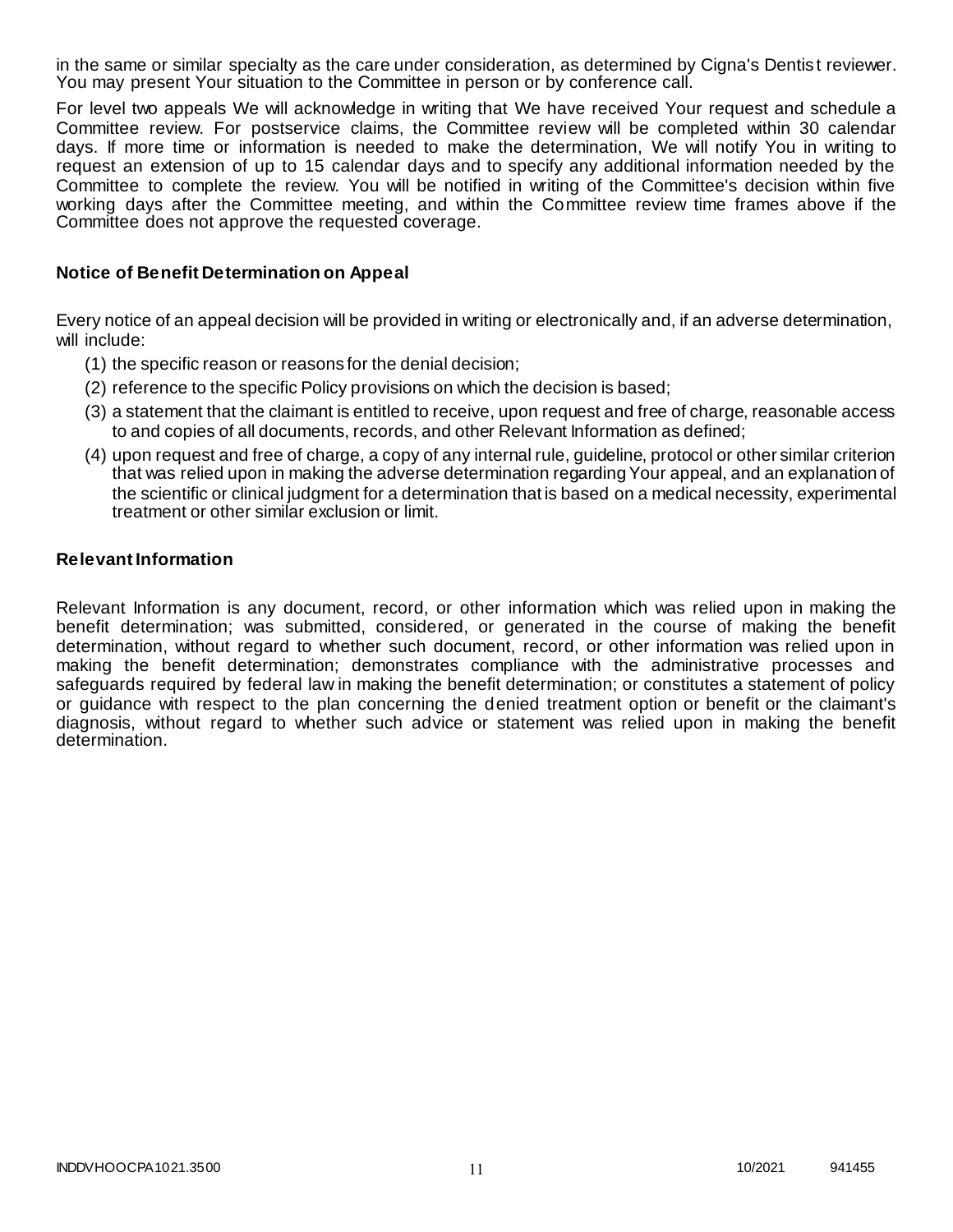in the same or similar specialty as the care under consideration, as determined by Cigna's Dentist reviewer. You may present Your situation to the Committee in person or by conference call.

For level two appeals We will acknowledge in writing that We have received Your request and schedule a Committee review. For postservice claims, the Committee review will be completed within 30 calendar days. If more time or information is needed to make the determination, We will notify You in writing to request an extension of up to 15 calendar days and to specify any additional information needed by the Committee to complete the review. You will be notified in writing of the Committee's decision within five working days after the Committee meeting, and within the Committee review time frames above if the Committee does not approve the requested coverage.

### **Notice of Benefit Determination on Appeal**

Every notice of an appeal decision will be provided in writing or electronically and, if an adverse determination, will include:

- (1) the specific reason or reasons for the denial decision;
- (2) reference to the specific Policy provisions on which the decision is based;
- (3) a statement that the claimant is entitled to receive, upon request and free of charge, reasonable access to and copies of all documents, records, and other Relevant Information as defined;
- (4) upon request and free of charge, a copy of any internal rule, guideline, protocol or other similar criterion that was relied upon in making the adverse determination regarding Your appeal, and an explanation of the scientific or clinical judgment for a determination that is based on a medical necessity, experimental treatment or other similar exclusion or limit.

#### **Relevant Information**

Relevant Information is any document, record, or other information which was relied upon in making the benefit determination; was submitted, considered, or generated in the course of making the benefit determination, without regard to whether such document, record, or other information was relied upon in making the benefit determination; demonstrates compliance with the administrative processes and safeguards required by federal law in making the benefit determination; or constitutes a statement of policy or guidance with respect to the plan concerning the denied treatment option or benefit or the claimant's diagnosis, without regard to whether such advice or statement was relied upon in making the benefit determination.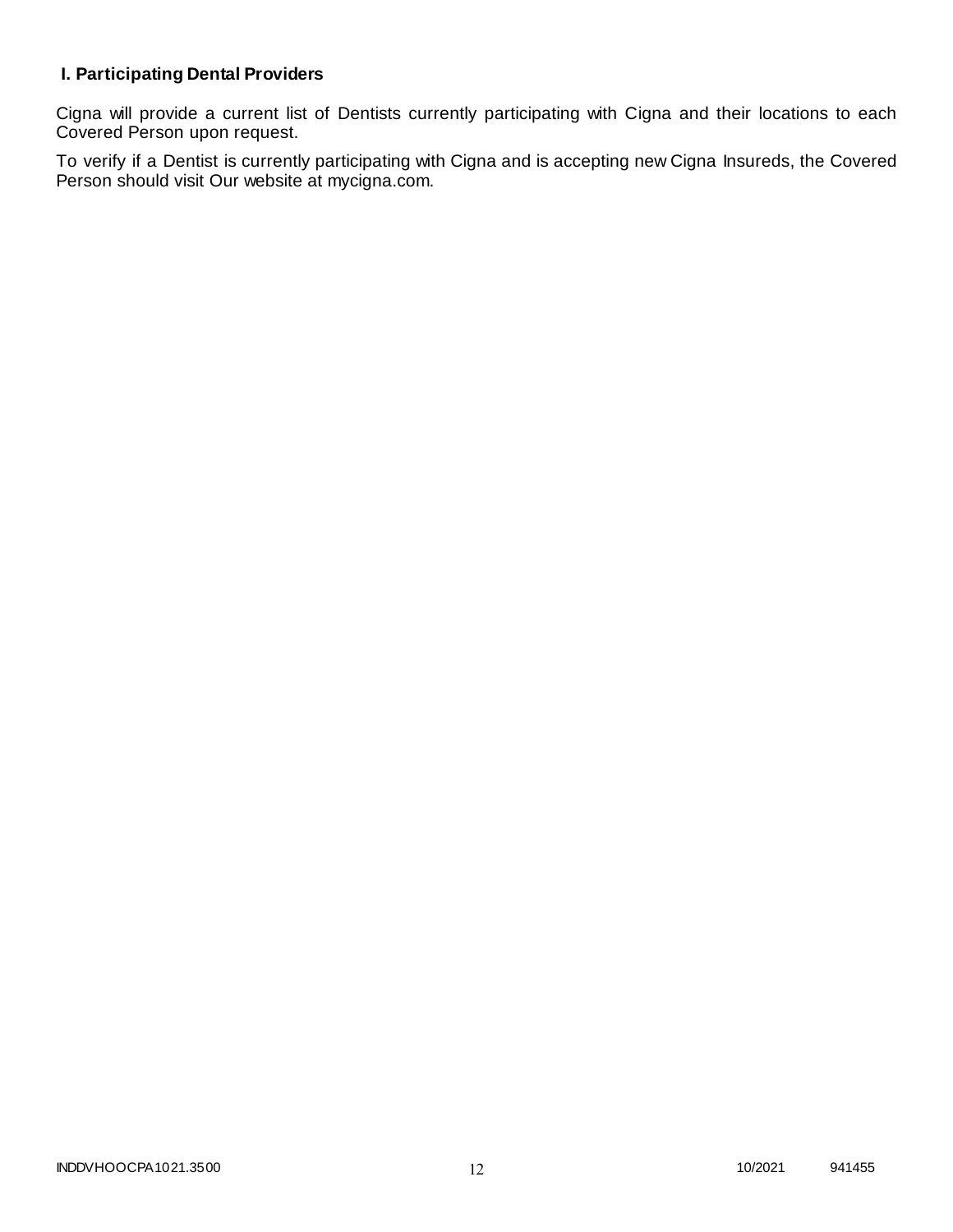# **I. Participating Dental Providers**

Cigna will provide a current list of Dentists currently participating with Cigna and their locations to each Covered Person upon request.

To verify if a Dentist is currently participating with Cigna and is accepting new Cigna Insureds, the Covered Person should visit Our website at mycigna.com.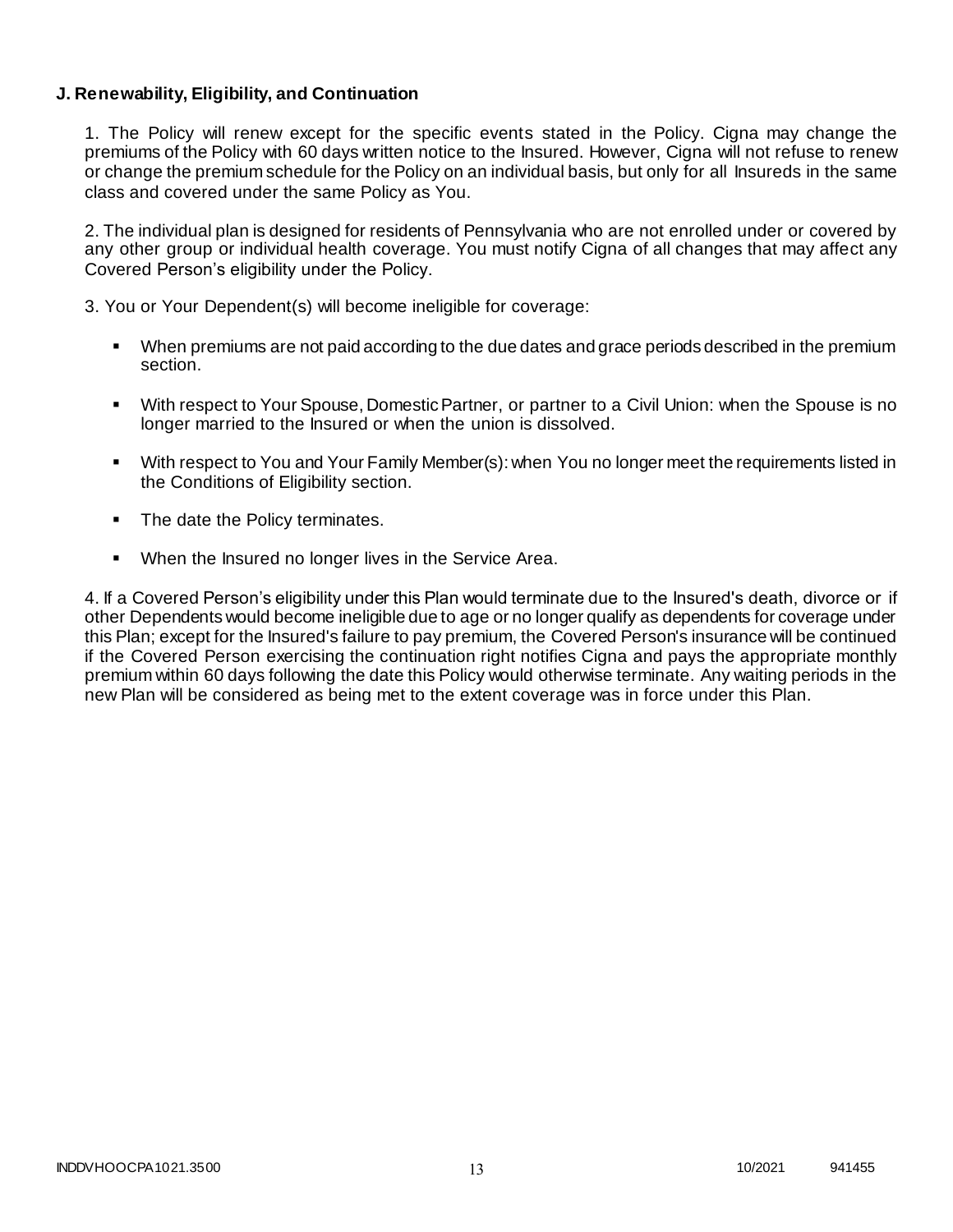### **J. Renewability, Eligibility, and Continuation**

1. The Policy will renew except for the specific events stated in the Policy. Cigna may change the premiums of the Policy with 60 days written notice to the Insured. However, Cigna will not refuse to renew or change the premium schedule for the Policy on an individual basis, but only for all Insureds in the same class and covered under the same Policy as You.

2. The individual plan is designed for residents of Pennsylvania who are not enrolled under or covered by any other group or individual health coverage. You must notify Cigna of all changes that may affect any Covered Person's eligibility under the Policy.

3. You or Your Dependent(s) will become ineligible for coverage:

- When premiums are not paid according to the due dates and grace periods described in the premium section.
- With respect to Your Spouse, Domestic Partner, or partner to a Civil Union: when the Spouse is no longer married to the Insured or when the union is dissolved.
- With respect to You and Your Family Member(s): when You no longer meet the requirements listed in the Conditions of Eligibility section.
- The date the Policy terminates.
- When the Insured no longer lives in the Service Area.

4. If a Covered Person's eligibility under this Plan would terminate due to the Insured's death, divorce or if other Dependents would become ineligible due to age or no longer qualify as dependents for coverage under this Plan; except for the Insured's failure to pay premium, the Covered Person's insurance will be continued if the Covered Person exercising the continuation right notifies Cigna and pays the appropriate monthly premium within 60 days following the date this Policy would otherwise terminate. Any waiting periods in the new Plan will be considered as being met to the extent coverage was in force under this Plan.